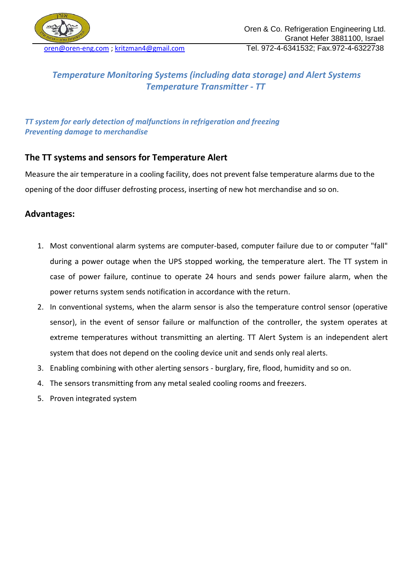

# *Temperature Monitoring Systems (including data storage) and Alert Systems Temperature Transmitter - TT*

### *TT system for early detection of malfunctions in refrigeration and freezing Preventing damage to merchandise*

### **The TT systems and sensors for Temperature Alert**

Measure the air temperature in a cooling facility, does not prevent false temperature alarms due to the opening of the door diffuser defrosting process, inserting of new hot merchandise and so on.

### **Advantages:**

- 1. Most conventional alarm systems are computer-based, computer failure due to or computer "fall" during a power outage when the UPS stopped working, the temperature alert. The TT system in case of power failure, continue to operate 24 hours and sends power failure alarm, when the power returns system sends notification in accordance with the return.
- 2. In conventional systems, when the alarm sensor is also the temperature control sensor (operative sensor), in the event of sensor failure or malfunction of the controller, the system operates at extreme temperatures without transmitting an alerting. TT Alert System is an independent alert system that does not depend on the cooling device unit and sends only real alerts.
- 3. Enabling combining with other alerting sensors burglary, fire, flood, humidity and so on.
- 4. The sensors transmitting from any metal sealed cooling rooms and freezers.
- 5. Proven integrated system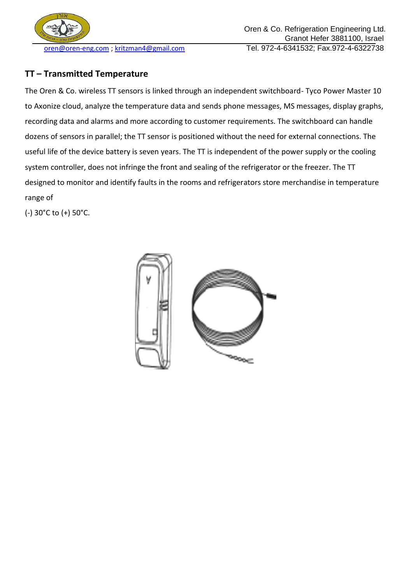

## **TT – Transmitted Temperature**

The Oren & Co. wireless TT sensors is linked through an independent switchboard- Tyco Power Master 10 to Axonize cloud, analyze the temperature data and sends phone messages, MS messages, display graphs, recording data and alarms and more according to customer requirements. The switchboard can handle dozens of sensors in parallel; the TT sensor is positioned without the need for external connections. The useful life of the device battery is seven years. The TT is independent of the power supply or the cooling system controller, does not infringe the front and sealing of the refrigerator or the freezer. The TT designed to monitor and identify faults in the rooms and refrigerators store merchandise in temperature range of

(-) 30°C to (+) 50°C.

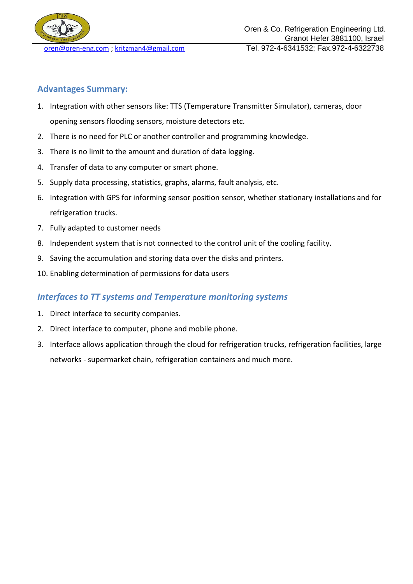

### **Advantages Summary:**

- 1. Integration with other sensors like: TTS (Temperature Transmitter Simulator), cameras, door opening sensors flooding sensors, moisture detectors etc.
- 2. There is no need for PLC or another controller and programming knowledge.
- 3. There is no limit to the amount and duration of data logging.
- 4. Transfer of data to any computer or smart phone.
- 5. Supply data processing, statistics, graphs, alarms, fault analysis, etc.
- 6. Integration with GPS for informing sensor position sensor, whether stationary installations and for refrigeration trucks.
- 7. Fully adapted to customer needs
- 8. Independent system that is not connected to the control unit of the cooling facility.
- 9. Saving the accumulation and storing data over the disks and printers.
- 10. Enabling determination of permissions for data users

## *Interfaces to TT systems and Temperature monitoring systems*

- 1. Direct interface to security companies.
- 2. Direct interface to computer, phone and mobile phone.
- 3. Interface allows application through the cloud for refrigeration trucks, refrigeration facilities, large networks - supermarket chain, refrigeration containers and much more.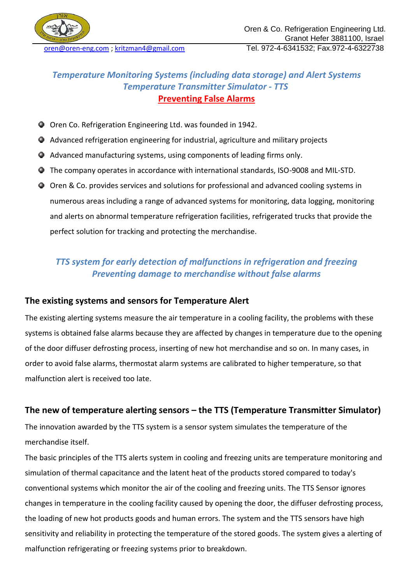

## *Temperature Monitoring Systems (including data storage) and Alert Systems Temperature Transmitter Simulator - TTS*  **Preventing False Alarms**

- Oren Co. Refrigeration Engineering Ltd. was founded in 1942.
- Advanced refrigeration engineering for industrial, agriculture and military projects
- Advanced manufacturing systems, using components of leading firms only.
- The company operates in accordance with international standards, ISO-9008 and MIL-STD.
- Oren & Co. provides services and solutions for professional and advanced cooling systems in numerous areas including a range of advanced systems for monitoring, data logging, monitoring and alerts on abnormal temperature refrigeration facilities, refrigerated trucks that provide the perfect solution for tracking and protecting the merchandise.

# *TTS system for early detection of malfunctions in refrigeration and freezing Preventing damage to merchandise without false alarms*

### **The existing systems and sensors for Temperature Alert**

The existing alerting systems measure the air temperature in a cooling facility, the problems with these systems is obtained false alarms because they are affected by changes in temperature due to the opening of the door diffuser defrosting process, inserting of new hot merchandise and so on. In many cases, in order to avoid false alarms, thermostat alarm systems are calibrated to higher temperature, so that malfunction alert is received too late.

## **The new of temperature alerting sensors – the TTS (Temperature Transmitter Simulator)**

The innovation awarded by the TTS system is a sensor system simulates the temperature of the merchandise itself.

The basic principles of the TTS alerts system in cooling and freezing units are temperature monitoring and simulation of thermal capacitance and the latent heat of the products stored compared to today's conventional systems which monitor the air of the cooling and freezing units. The TTS Sensor ignores changes in temperature in the cooling facility caused by opening the door, the diffuser defrosting process, the loading of new hot products goods and human errors. The system and the TTS sensors have high sensitivity and reliability in protecting the temperature of the stored goods. The system gives a alerting of malfunction refrigerating or freezing systems prior to breakdown.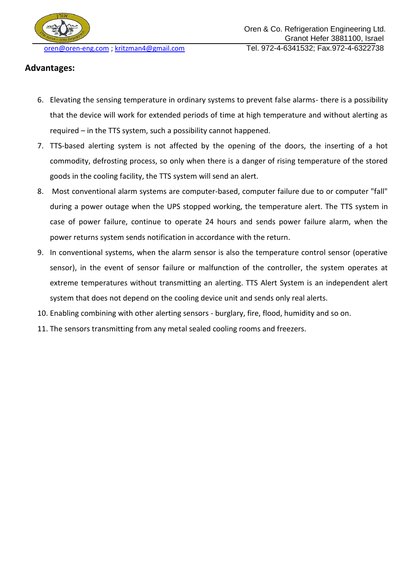

### **Advantages:**

- 6. Elevating the sensing temperature in ordinary systems to prevent false alarms- there is a possibility that the device will work for extended periods of time at high temperature and without alerting as required – in the TTS system, such a possibility cannot happened.
- 7. TTS-based alerting system is not affected by the opening of the doors, the inserting of a hot commodity, defrosting process, so only when there is a danger of rising temperature of the stored goods in the cooling facility, the TTS system will send an alert.
- 8. Most conventional alarm systems are computer-based, computer failure due to or computer "fall" during a power outage when the UPS stopped working, the temperature alert. The TTS system in case of power failure, continue to operate 24 hours and sends power failure alarm, when the power returns system sends notification in accordance with the return.
- 9. In conventional systems, when the alarm sensor is also the temperature control sensor (operative sensor), in the event of sensor failure or malfunction of the controller, the system operates at extreme temperatures without transmitting an alerting. TTS Alert System is an independent alert system that does not depend on the cooling device unit and sends only real alerts.
- 10. Enabling combining with other alerting sensors burglary, fire, flood, humidity and so on.
- 11. The sensors transmitting from any metal sealed cooling rooms and freezers.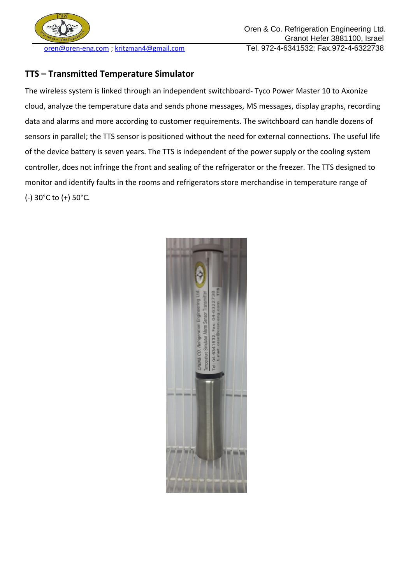

### **TTS – Transmitted Temperature Simulator**

The wireless system is linked through an independent switchboard- Tyco Power Master 10 to Axonize cloud, analyze the temperature data and sends phone messages, MS messages, display graphs, recording data and alarms and more according to customer requirements. The switchboard can handle dozens of sensors in parallel; the TTS sensor is positioned without the need for external connections. The useful life of the device battery is seven years. The TTS is independent of the power supply or the cooling system controller, does not infringe the front and sealing of the refrigerator or the freezer. The TTS designed to monitor and identify faults in the rooms and refrigerators store merchandise in temperature range of (-) 30°C to (+) 50°C.

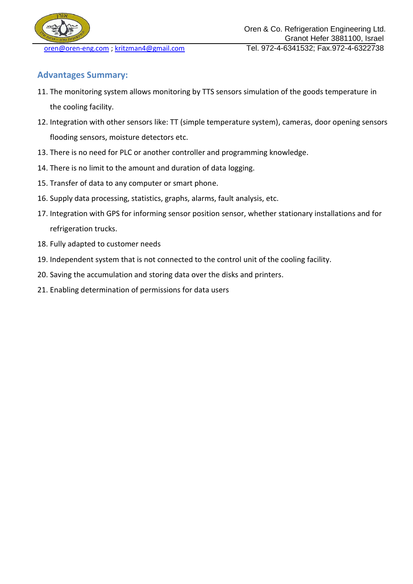

## **Advantages Summary:**

- 11. The monitoring system allows monitoring by TTS sensors simulation of the goods temperature in the cooling facility.
- 12. Integration with other sensors like: TT (simple temperature system), cameras, door opening sensors flooding sensors, moisture detectors etc.
- 13. There is no need for PLC or another controller and programming knowledge.
- 14. There is no limit to the amount and duration of data logging.
- 15. Transfer of data to any computer or smart phone.
- 16. Supply data processing, statistics, graphs, alarms, fault analysis, etc.
- 17. Integration with GPS for informing sensor position sensor, whether stationary installations and for refrigeration trucks.
- 18. Fully adapted to customer needs
- 19. Independent system that is not connected to the control unit of the cooling facility.
- 20. Saving the accumulation and storing data over the disks and printers.
- 21. Enabling determination of permissions for data users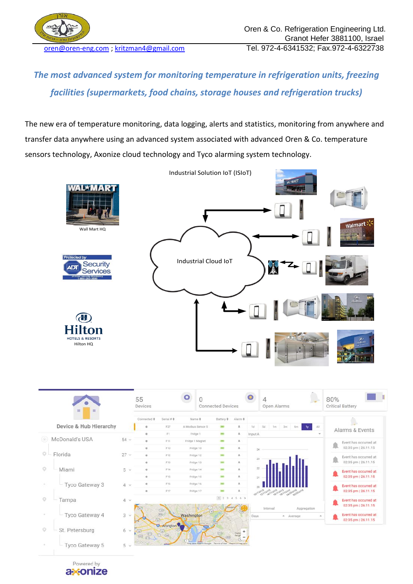

*The most advanced system for monitoring temperature in refrigeration units, freezing facilities (supermarkets, food chains, storage houses and refrigeration trucks)*

The new era of temperature monitoring, data logging, alerts and statistics, monitoring from anywhere and transfer data anywhere using an advanced system associated with advanced Oren & Co. temperature sensors technology, Axonize cloud technology and Tyco alarming system technology.



|                                  |                 | 55<br>Devices<br>Connected #<br>Serial # $\texttt{L}$ |                                                                       | $\bullet$                                        | <b>Connected Devices</b>           |                             |                    | 4<br>Open Alarms |                                            |    |             |                                              | 80%<br><b>Critical Battery</b>               |  |
|----------------------------------|-----------------|-------------------------------------------------------|-----------------------------------------------------------------------|--------------------------------------------------|------------------------------------|-----------------------------|--------------------|------------------|--------------------------------------------|----|-------------|----------------------------------------------|----------------------------------------------|--|
|                                  |                 |                                                       |                                                                       | Name ¢                                           |                                    | Battery $\phi$ Alarm $\phi$ |                    |                  |                                            |    |             |                                              |                                              |  |
| Device & Hub Hierarchy           |                 |                                                       | F27                                                                   | A Modbus Sensor 5                                |                                    |                             |                    | tid.             | Sd.<br>1m                                  | 3m | <b>Bm</b>   | $\Delta 3$                                   | Alarms & Events                              |  |
| McDonald's USA<br>$\circledcirc$ | $54 -$          | o                                                     | F1<br>F11                                                             |                                                  | Fridge 1<br>100(1)<br><b>DALL</b>  |                             | a.<br>a.           | Input A          |                                            |    |             |                                              |                                              |  |
|                                  |                 | o                                                     | F10                                                                   | Fridge 1 Magnet<br>Fridge 10<br>F12<br>Fridge 12 |                                    | <b>MO</b>                   | a.                 | $24^{\circ}$     |                                            |    |             | Event has occurred at<br>02:35 pm   26.11.15 |                                              |  |
| $Q -$<br>Florida                 | 27 <sub>0</sub> | $\circ$                                               |                                                                       |                                                  |                                    | (MO)                        | n.                 |                  |                                            |    |             |                                              | Event has occurred at                        |  |
|                                  |                 | $\alpha$                                              | F13                                                                   |                                                  | Fridge 13                          | mo                          |                    | 23               |                                            |    |             |                                              | 02:35 pm   26.11.15                          |  |
| o<br>Miami                       | $5 \vee$        | ö                                                     | F14                                                                   |                                                  | Fridge 14                          |                             |                    | $^{22}$          |                                            |    |             |                                              | Event has occurred at                        |  |
|                                  |                 | $\circ$                                               | F15                                                                   |                                                  | Fridge 15                          | <b>HO</b>                   |                    | 21.              |                                            |    |             |                                              | 02:35 pm   26.11.15                          |  |
| Tyco Gateway 3                   | $4 \times$      | <b>O</b>                                              | F16                                                                   |                                                  | Fridge 16                          |                             |                    |                  |                                            |    |             |                                              | Event has occurred at                        |  |
|                                  |                 | $\circ$                                               | F17                                                                   |                                                  | Fridge 17                          |                             |                    |                  | tornages upons consumption ages and consum |    |             |                                              | 02:35 pm   26.11.15                          |  |
| $\circ$<br>Tampa                 | 4<br>$\sim$     |                                                       |                                                                       |                                                  |                                    | 1234567                     |                    |                  |                                            |    |             |                                              | Event has occurred at<br>02:35 pm   26.11.15 |  |
|                                  |                 |                                                       | $\begin{array}{c} \hline \text{(3)} \\ \hline \text{(8)} \end{array}$ |                                                  | (50)                               |                             |                    |                  | Interval                                   |    | Aggregation |                                              |                                              |  |
| Tyco Gateway 4                   | 3<br>$\omega$   |                                                       | (5)                                                                   | Washington                                       |                                    |                             |                    | Days             |                                            |    | - Average   |                                              | Event has occurred at<br>02:35 pm   26.11.15 |  |
| $\circ$<br>St. Petersburg        | 6<br>$\infty$   | (50)<br>$\circ$<br>(140)                              | <b>C</b> -Arlington<br>$\overline{(\mathfrak{m})}$<br>$0 \n\omega$    |                                                  |                                    | (11)<br>(a a)               | Diatri<br>Heigh    |                  |                                            |    |             |                                              |                                              |  |
| Tyco Gateway 5                   | 5 <sup>2</sup>  |                                                       |                                                                       |                                                  | Map data 82016 Google Terms of Use |                             | Report a map error |                  |                                            |    |             |                                              |                                              |  |